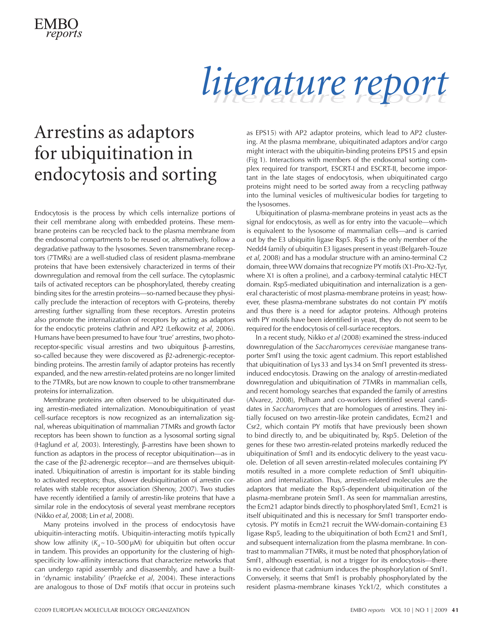

# *literature report literature report*

#### Arrestins as adaptors for ubiquitination in endocytosis and sorting

Endocytosis is the process by which cells internalize portions of their cell membrane along with embedded proteins. These membrane proteins can be recycled back to the plasma membrane from the endosomal compartments to be reused or, alternatively, follow a degradative pathway to the lysosomes. Seven transmembrane receptors (7TMRs) are a well-studied class of resident plasma-membrane proteins that have been extensively characterized in terms of their downregulation and removal from the cell surface. The cytoplasmic tails of activated receptors can be phosphorylated, thereby creating binding sites for the arrestin proteins—so-named because they physically preclude the interaction of receptors with G-proteins, thereby arresting further signalling from these receptors. Arrestin proteins also promote the internalization of receptors by acting as adaptors for the endocytic proteins clathrin and AP2 (Lefkowitz *et al*, 2006). Humans have been presumed to have four 'true' arrestins, two photoreceptor-specific visual arrestins and two ubiquitous β-arrestins, so-called because they were discovered as β2-adrenergic-receptorbinding proteins. The arrestin family of adaptor proteins has recently expanded, and the new arrestin-related proteins are no longer limited to the 7TMRs, but are now known to couple to other transmembrane proteins for internalization.

Membrane proteins are often observed to be ubiquitinated during arrestin-mediated internalization. Monoubiquitination of yeast cell-surface receptors is now recognized as an internalization signal, whereas ubiquitination of mammalian 7TMRs and growth factor receptors has been shown to function as a lysosomal sorting signal (Haglund *et al*, 2003). Interestingly, β-arrestins have been shown to function as adaptors in the process of receptor ubiquitination—as in the case of the β2-adrenergic receptor—and are themselves ubiquitinated. Ubiquitination of arrestin is important for its stable binding to activated receptors; thus, slower deubiquitination of arrestin correlates with stable receptor association (Shenoy, 2007). Two studies have recently identified a family of arrestin-like proteins that have a similar role in the endocytosis of several yeast membrane receptors (Nikko *et al*, 2008; Lin *et al*, 2008).

Many proteins involved in the process of endocytosis have ubiquitin-interacting motifs. Ubiquitin-interacting motifs typically show low affinity  $(K_d \sim 10-500 \,\mu\text{M})$  for ubiquitin but often occur in tandem. This provides an opportunity for the clustering of highspecificity low-affinity interactions that characterize networks that can undergo rapid assembly and disassembly, and have a builtin 'dynamic instability' (Praefcke *et al*, 2004). These interactions are analogous to those of DxF motifs (that occur in proteins such

as EPS15) with AP2 adaptor proteins, which lead to AP2 clustering. At the plasma membrane, ubiquitinated adaptors and/or cargo might interact with the ubiquitin-binding proteins EPS15 and epsin (Fig 1). Interactions with members of the endosomal sorting complex required for transport, ESCRT-I and ESCRT-II, become important in the late stages of endocytosis, when ubiquitinated cargo proteins might need to be sorted away from a recycling pathway into the luminal vesicles of multivesicular bodies for targeting to the lysosomes.

Ubiquitination of plasma-membrane proteins in yeast acts as the signal for endocytosis, as well as for entry into the vacuole—which is equivalent to the lysosome of mammalian cells—and is carried out by the E3 ubiquitin ligase Rsp5. Rsp5 is the only member of the Nedd4 family of ubiquitin E3 ligases present in yeast (Belgareh-Touze *et al*, 2008) and has a modular structure with an amino-terminal C2 domain, three WW domains that recognize PY motifs (X1-Pro-X2-Tyr, where X1 is often a proline), and a carboxy-terminal catalytic HECT domain. Rsp5-mediated ubiquitination and internalization is a general characteristic of most plasma-membrane proteins in yeast; however, these plasma-membrane substrates do not contain PY motifs and thus there is a need for adaptor proteins. Although proteins with PY motifs have been identified in yeast, they do not seem to be required for the endocytosis of cell-surface receptors.

In a recent study, Nikko *et al* (2008) examined the stress-induced downregulation of the *Saccharomyces cerevisiae* manganese transporter Smf1 using the toxic agent cadmium. This report established that ubiquitination of Lys33 and Lys34 on Smf1 prevented its stressinduced endocytosis. Drawing on the analogy of arrestin-mediated downregulation and ubiquitination of 7TMRs in mammalian cells, and recent homology searches that expanded the family of arrestins (Alvarez, 2008), Pelham and co-workers identified several candidates in *Saccharomyces* that are homologues of arrestins. They initially focused on two arrestin-like protein candidates, Ecm21 and Csr2, which contain PY motifs that have previously been shown to bind directly to, and be ubiquitinated by, Rsp5. Deletion of the genes for these two arrestin-related proteins markedly reduced the ubiquitination of Smf1 and its endocytic delivery to the yeast vacuole. Deletion of all seven arrestin-related molecules containing PY motifs resulted in a more complete reduction of Smf1 ubiquitination and internalization. Thus, arrestin-related molecules are the adaptors that mediate the Rsp5-dependent ubiquitination of the plasma-membrane protein Smf1. As seen for mammalian arrestins, the Ecm21 adaptor binds directly to phosphorylated Smf1, Ecm21 is itself ubiquitinated and this is necessary for Smf1 transporter endocytosis. PY motifs in Ecm21 recruit the WW-domain-containing E3 ligase Rsp5, leading to the ubiquitination of both Ecm21 and Smf1, and subsequent internalization from the plasma membrane. In contrast to mammalian 7TMRs, it must be noted that phosphorylation of Smf1, although essential, is not a trigger for its endocytosis—there is no evidence that cadmium induces the phosphorylation of Smf1. Conversely, it seems that Smf1 is probably phosphorylated by the resident plasma-membrane kinases Yck1/2, which constitutes a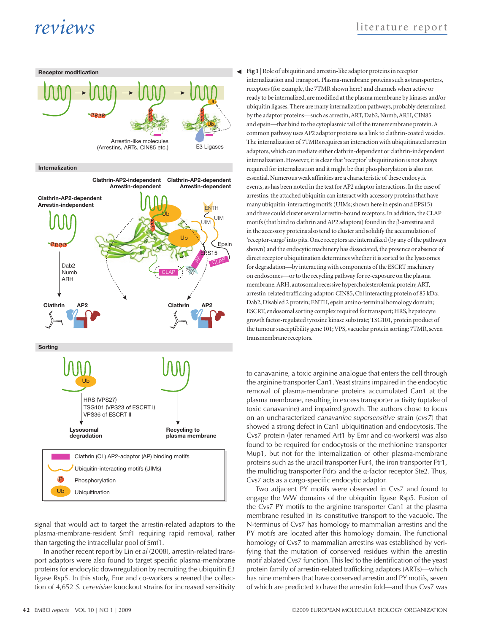### *reviews* literature report



signal that would act to target the arrestin-related adaptors to the plasma-membrane-resident Smf1 requiring rapid removal, rather than targeting the intracellular pool of Smf1.

In another recent report by Lin *et al* (2008), arrestin-related transport adaptors were also found to target specific plasma-membrane proteins for endocytic downregulation by recruiting the ubiquitin E3 ligase Rsp5. In this study, Emr and co-workers screened the collection of 4,652 *S. cerevisiae* knockout strains for increased sensitivity **Fig 1** | Role of ubiquitin and arrestin-like adaptor proteins in receptor internalization and transport. Plasma-membrane proteins such as transporters, receptors (for example, the 7TMR shown here) and channels when active or ready to be internalized, are modified at the plasma membrane by kinases and/or ubiquitin ligases. There are many internalization pathways, probably determined by the adaptor proteins—such as arrestin, ART, Dab2, Numb, ARH, CIN85 and epsin—that bind to the cytoplasmic tail of the transmembrane protein. A common pathway uses AP2 adaptor proteins as a link to clathrin-coated vesicles. The internalization of 7TMRs requires an interaction with ubiquitinated arrestin adaptors, which can mediate either clathrin-dependent or clathrin-independent internalization. However, it is clear that 'receptor' ubiquitination is not always required for internalization and it might be that phosphorylation is also not essential. Numerous weak affinities are a characteristic of these endocytic events, as has been noted in the text for AP2 adaptor interactions. In the case of arrestins, the attached ubiquitin can interact with accessory proteins that have many ubiquitin-interacting motifs (UIMs; shown here in epsin and EPS15) and these could cluster several arrestin-bound receptors. In addition, the CLAP motifs (that bind to clathrin and AP2 adaptors) found in the β-arrestins and in the accessory proteins also tend to cluster and solidify the accumulation of 'receptor-cargo' into pits. Once receptors are internalized (by any of the pathways shown) and the endocytic machinery has dissociated, the presence or absence of direct receptor ubiquitination determines whether it is sorted to the lysosomes for degradation—by interacting with components of the ESCRT machinery on endosomes—or to the recycling pathway for re-exposure on the plasma membrane. ARH, autosomal recessive hypercholesterolemia protein; ART, arrestin-related trafficking adaptor; CIN85, Cbl interacting protein of 85 kDa; Dab2, Disabled 2 protein; ENTH, epsin amino-terminal homology domain; ESCRT, endosomal sorting complex required for transport; HRS, hepatocyte growth factor-regulated tyrosine kinase substrate; TSG101, protein product of the tumour susceptibility gene 101; VPS, vacuolar protein sorting; 7TMR, seven transmembrane receptors.

to canavanine, a toxic arginine analogue that enters the cell through the arginine transporter Can1. Yeast strains impaired in the endocytic removal of plasma-membrane proteins accumulated Can1 at the plasma membrane, resulting in excess transporter activity (uptake of toxic canavanine) and impaired growth. The authors chose to focus on an uncharacterized *canavanine-supersensitive* strain (*cvs7*) that showed a strong defect in Can1 ubiquitination and endocytosis. The Cvs7 protein (later renamed Art1 by Emr and co-workers) was also found to be required for endocytosis of the methionine transporter Mup1, but not for the internalization of other plasma-membrane proteins such as the uracil transporter Fur4, the iron transporter Ftr1, the multidrug transporter Pdr5 and the α-factor receptor Ste2. Thus, Cvs7 acts as a cargo-specific endocytic adaptor.

Two adjacent PY motifs were observed in Cvs7 and found to engage the WW domains of the ubiquitin ligase Rsp5. Fusion of the Cvs7 PY motifs to the arginine transporter Can1 at the plasma membrane resulted in its constitutive transport to the vacuole. The N-terminus of Cvs7 has homology to mammalian arrestins and the PY motifs are located after this homology domain. The functional homology of Cvs7 to mammalian arrestins was established by verifying that the mutation of conserved residues within the arrestin motif ablated Cvs7 function. This led to the identification of the yeast protein family of arrestin-related trafficking adaptors (ARTs)—which has nine members that have conserved arrestin and PY motifs, seven of which are predicted to have the arrestin fold—and thus Cvs7 was